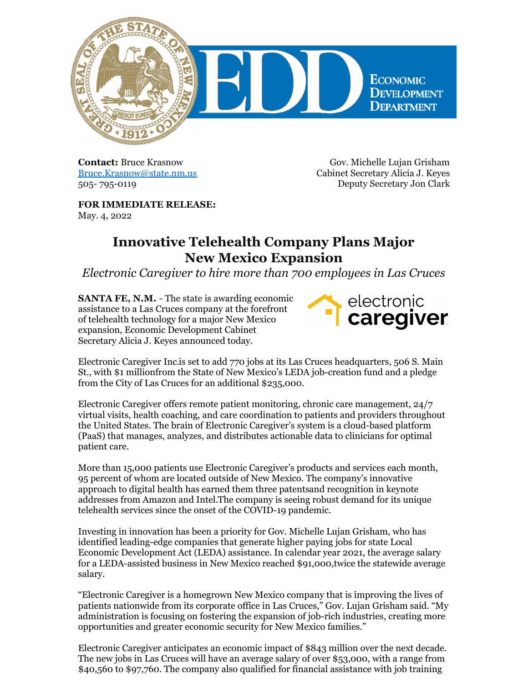

**Contact:** Bruce Krasnow [Bruce.Krasnow@state.nm.us](mailto:Bruce.Krasnow@state.nm.us) 505- 795-0119

Gov. Michelle Lujan Grisham Cabinet Secretary Alicia J. Keyes Deputy Secretary Jon Clark

**FOR IMMEDIATE RELEASE:** May. 4, 2022

## **Innovative Telehealth Company Plans Major New Mexico Expansion**

*Electronic Caregiver to hire more than 700 employees in Las Cruces*

**SANTA FE, N.M.** - The state is awarding economic assistance to a Las Cruces company at the forefront of telehealth technology for a major New Mexico expansion, Economic Development Cabinet Secretary Alicia J. Keyes announced today.



[Electronic](https://electroniccaregiver.com/) Caregiver Inc.is set to add 770 jobs at its Las Cruces headquarters, 506 S. Main St., with \$1 millionfrom the State of New Mexico's LEDA job-creation fund and a pledge from the City of Las Cruces for an additional \$235,000.

Electronic Caregiver offers remote patient monitoring, chronic care management, 24/7 virtual visits, health coaching, and care coordination to patients and providers throughout the United States. The brain of Electronic Caregiver's system is a cloud-based platform (PaaS) that manages, analyzes, and distributes actionable data to clinicians for optimal patient care.

More than 15,000 patients use Electronic Caregiver's products and services each month, 95 percent of whom are located outside of New Mexico. The company's innovative approach to digital health has earned them three patentsand [recognition](https://electroniccaregiver.com/press-releases/) in keynote addresses from Amazon and Intel.The company is seeing robust demand for its unique telehealth services since the onset of the COVID-19 pandemic.

Investing in innovation has been a priority for Gov. Michelle Lujan Grisham, who has identified leading-edge companies that generate higher paying jobs for state Local Economic Development Act (LEDA) assistance. In calendar year 2021, the average salary for a LEDA-assisted business in New Mexico reached \$91,000,twice the statewide average salary.

"Electronic Caregiver is a homegrown New Mexico company that is improving the lives of patients nationwide from its corporate office in Las Cruces," Gov. Lujan Grisham said. "My administration is focusing on fostering the expansion of job-rich industries, creating more opportunities and greater economic security for New Mexico families."

Electronic Caregiver anticipates an economic impact of \$843 million over the next decade. The new jobs in Las Cruces will have an average salary of over \$53,000, with a range from \$40,560 to \$97,760. The company also qualified for financial assistance with job training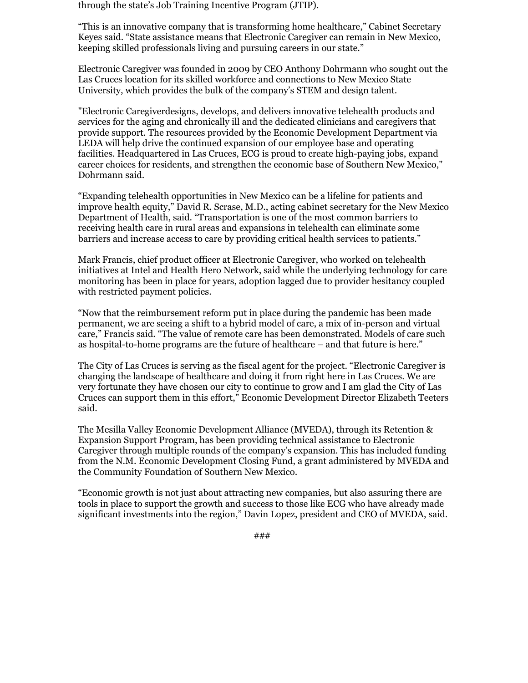through the state's Job Training Incentive Program (JTIP).

"This is an innovative company that is transforming home healthcare," Cabinet Secretary Keyes said. "State assistance means that Electronic Caregiver can remain in New Mexico, keeping skilled professionals living and pursuing careers in our state."

Electronic Caregiver was founded in 2009 by CEO Anthony Dohrmann who sought out the Las Cruces location for its skilled workforce and connections to New Mexico State University, which provides the bulk of the company's STEM and design talent.

"Electronic Caregiverdesigns, develops, and delivers innovative telehealth products and services for the aging and chronically ill and the dedicated clinicians and caregivers that provide support. The resources provided by the Economic Development Department via LEDA will help drive the continued expansion of our employee base and operating facilities. Headquartered in Las Cruces, ECG is proud to create high-paying jobs, expand career choices for residents, and strengthen the economic base of Southern New Mexico," Dohrmann said.

"Expanding telehealth opportunities in New Mexico can be a lifeline for patients and improve health equity," David R. Scrase, M.D., acting cabinet secretary for the New Mexico Department of Health, said. "Transportation is one of the most common barriers to receiving health care in rural areas and expansions in telehealth can eliminate some barriers and increase access to care by providing critical health services to patients."

Mark Francis, chief product officer at Electronic Caregiver, who worked on telehealth initiatives at Intel and Health Hero Network, said while the underlying technology for care monitoring has been in place for years, adoption lagged due to provider hesitancy coupled with restricted payment policies.

"Now that the reimbursement reform put in place during the pandemic has been made permanent, we are seeing a shift to a hybrid model of care, a mix of in-person and virtual care," Francis said. "The value of remote care has been demonstrated. Models of care such as hospital-to-home programs are the future of healthcare – and that future is here."

The City of Las Cruces is serving as the fiscal agent for the project. "Electronic Caregiver is changing the landscape of healthcare and doing it from right here in Las Cruces. We are very fortunate they have chosen our city to continue to grow and I am glad the City of Las Cruces can support them in this effort," Economic Development Director Elizabeth Teeters said.

The Mesilla Valley Economic Development Alliance (MVEDA), through its Retention & Expansion Support Program, has been providing technical assistance to Electronic Caregiver through multiple rounds of the company's expansion. This has included funding from the N.M. Economic Development Closing Fund, a grant administered by MVEDA and the Community Foundation of Southern New Mexico.

"Economic growth is not just about attracting new companies, but also assuring there are tools in place to support the growth and success to those like ECG who have already made significant investments into the region," Davin Lopez, president and CEO of MVEDA, said.

###